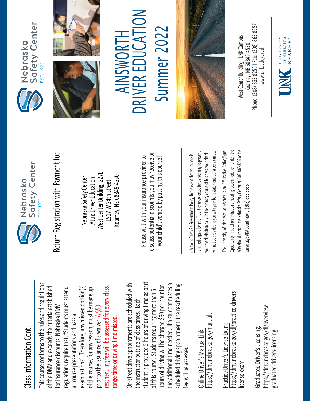## Class Information Cont. Class Information Cont.

This course conforms to the rules and regulations This course conforms to the rules and regulations rescheduling fee will be assessed for every class, examinations". Therefore, any missed portion(s) of the DMV and exceeds the criteria established regulations require that, "Students must attend rescheduling fee will be assessed for every class, of the DMV and exceeds the criteria established examinations". Therefore, any missed portion(s) of the course, for any reason, must be made up regulations require that, "Students must attend of the course, for any reason, must be made up for insurance discounts. Nebraska DMV for insurance discounts. Nebraska DMV prior to the issuance of a waiver. A \$50 all course presentations and pass all all course presentations and pass all range time or driving time missed. range time or driving time missed. prior to the issuance of a waiver.

student is provided 5 hours of driving time as part On-street drive appointments are scheduled with student is provided 5 hours of driving time as part the additional time needed. If a student misses a scheduled driving appointment, the rescheduling the additional time needed. If a student misses a On-street drive appointments are scheduled with hours of driving will be charged \$50 per hour for hours of driving will be charged \$50 per hour for scheduled driving appointment, the rescheduling of this course. Students requiring more than 5 of this course. Students requiring more than 5 the instructor outside of class times. Each the instructor outside of class times. Each fee will be assessed. fee will be assessed

https://dmv.nebraska.gov/manuals https://dmv.nebraska.gov/manuals Online Driver's Manual Link: Online Driver's Manual Link:

https://dmv.nebraska.gov/dl/practice-drivershttps://dmv.nebraska.gov/dl/practice-drivers-Practice Driver's License Exam: Practice Driver's License Exam: license-exam icense-exam

https://dmv.nebraska.gov/dl/overviewhttps://dmv.nebraska.gov/dl/overview-Graduated Driver's Licensing: Graduated Driver's Licensing: graduated-drivers-licensing graduated-drivers-licensing



Nebraska Safety Center Attn: Driver Education West Center Building, 227E 1917 W 24th Street Kearney, NE 68849-4550

Please visit with your insurance provider to discuss potential discounts you may receive on your child's vehicle by passing this course! Return Registration with Payment to:<br>
Nebraska Safety Center<br>
Attn: Driver Education<br>
1917 W 24th Street<br>
Rearney, NE 68849-4550<br>
Rease visit with your insurance provider to<br>
Please visit with your insurance provider to<br>
y

returned unpaid for insufficient or uncollected funds, we may re-present a copy can be. returned unpaid for insufficient or uncollected funds, we may re-present will not be provided to you with your bank statement, but a copy can be. your check electronically. In the ordinary course of business, your check your check electronically. In the ordinary course of business, your check will not be provided to you with your bank statement, but

The University of Nebraska at Kearney is an Affirmative Action/Equal The University of Nebraska at Kearney is an Affirmative Action/Equal Opportunity Institution. Individuals needing accommodation under the ADA should contact the Nebraska Safety Center at (308) 865-8256 or the Opportunity Institution. Individuals needing accommodation under the ADA should contact the Nebraska Safety Center at (308) 865-8256 or the Jniversity's ADA Coordinator at (308) 865-8655. University's ADA Coordinator at (308) 86







 $\sum_{i=1}^{n}$ AINSWORTH Summer 2022 AINSWORTH R EDUCA E RIV **NC** 

Summer 202



Phone: (308) 865-8256 | Fax: (308) 865-8257 West Center Building I UNK Campus Nest Center Building I UNK Campus -8256 I Fax: (308) 865 Kearney, NE 68849-4550 www.unk.edu/dred [www.unk.edu/dred](http://www.unk.edu/dred) Kearney, NE 68849 Phone: (308) 865

UNIVERSITY<br>
OF NEBRASKA<br>
KFARNEY

**KEARNEY**